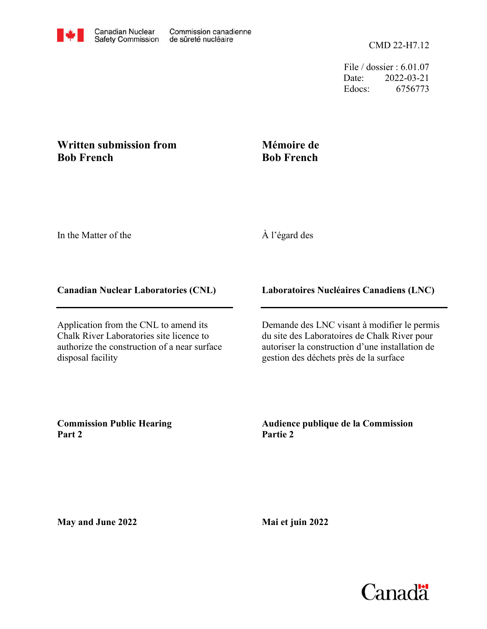File / dossier : 6.01.07 Date: 2022-03-21 Edocs: 6756773

## **Written submission from Bob French**

## **Mémoire de Bob French**

In the Matter of the

## À l'égard des

## **Canadian Nuclear Laboratories (CNL)**

Application from the CNL to amend its Chalk River Laboratories site licence to authorize the construction of a near surface disposal facility

**Laboratoires Nucléaires Canadiens (LNC)**

Demande des LNC visant à modifier le permis du site des Laboratoires de Chalk River pour autoriser la construction d'une installation de gestion des déchets près de la surface

**Commission Public Hearing Part 2**

**Audience publique de la Commission Partie 2**

**May and June 2022**

**Mai et juin 2022**